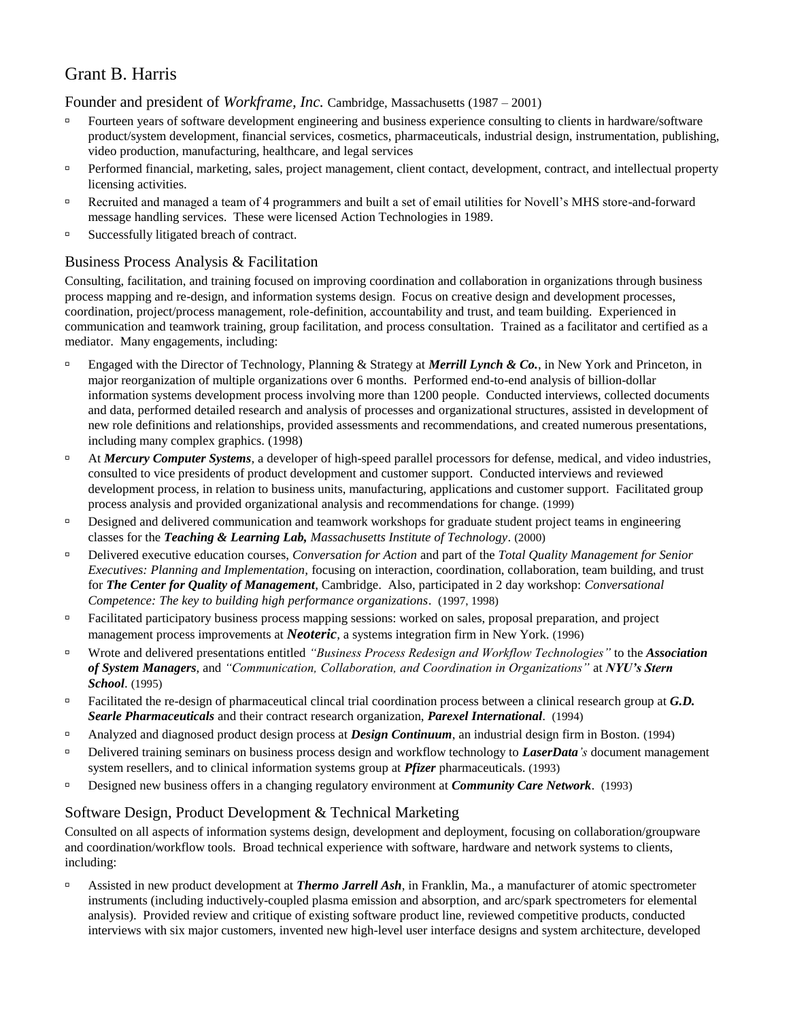# Grant B. Harris

Founder and president of *Workframe, Inc.* Cambridge, Massachusetts (1987 – 2001)

- Fourteen years of software development engineering and business experience consulting to clients in hardware/software product/system development, financial services, cosmetics, pharmaceuticals, industrial design, instrumentation, publishing, video production, manufacturing, healthcare, and legal services
- **Performed financial, marketing, sales, project management, client contact, development, contract, and intellectual property** licensing activities.
- Recruited and managed a team of 4 programmers and built a set of email utilities for Novell's MHS store-and-forward message handling services. These were licensed Action Technologies in 1989.
- □ Successfully litigated breach of contract.

### Business Process Analysis & Facilitation

Consulting, facilitation, and training focused on improving coordination and collaboration in organizations through business process mapping and re-design, and information systems design. Focus on creative design and development processes, coordination, project/process management, role-definition, accountability and trust, and team building. Experienced in communication and teamwork training, group facilitation, and process consultation. Trained as a facilitator and certified as a mediator. Many engagements, including:

- **Engaged with the Director of Technology, Planning & Strategy at** *Merrill Lynch & Co.***, in New York and Princeton, in** major reorganization of multiple organizations over 6 months. Performed end-to-end analysis of billion-dollar information systems development process involving more than 1200 people. Conducted interviews, collected documents and data, performed detailed research and analysis of processes and organizational structures, assisted in development of new role definitions and relationships, provided assessments and recommendations, and created numerous presentations, including many complex graphics. (1998)
- At *Mercury Computer Systems,* a developer of high-speed parallel processors for defense, medical, and video industries, consulted to vice presidents of product development and customer support. Conducted interviews and reviewed development process, in relation to business units, manufacturing, applications and customer support. Facilitated group process analysis and provided organizational analysis and recommendations for change. (1999)
- Designed and delivered communication and teamwork workshops for graduate student project teams in engineering classes for the *Teaching & Learning Lab, Massachusetts Institute of Technology*. (2000)
- Delivered executive education courses, *Conversation for Action* and part of the *Total Quality Management for Senior Executives: Planning and Implementation,* focusing on interaction, coordination, collaboration, team building, and trust for *The Center for Quality of Management*, Cambridge. Also, participated in 2 day workshop: *Conversational Competence: The key to building high performance organizations*. (1997, 1998)
- Facilitated participatory business process mapping sessions: worked on sales, proposal preparation, and project management process improvements at *Neoteric,* a systems integration firm in New York. (1996)
- Wrote and delivered presentations entitled *"Business Process Redesign and Workflow Technologies"* to the *Association of System Managers*, and *"Communication, Collaboration, and Coordination in Organizations"* at *NYU's Stern School*. (1995)
- Facilitated the re-design of pharmaceutical clincal trial coordination process between a clinical research group at *G.D. Searle Pharmaceuticals* and their contract research organization, *Parexel International*. (1994)
- Analyzed and diagnosed product design process at *Design Continuum*, an industrial design firm in Boston. (1994)
- Delivered training seminars on business process design and workflow technology to *LaserData's* document management system resellers, and to clinical information systems group at *Pfizer* pharmaceuticals. (1993)
- Designed new business offers in a changing regulatory environment at *Community Care Network*. (1993)

#### Software Design, Product Development & Technical Marketing

Consulted on all aspects of information systems design, development and deployment, focusing on collaboration/groupware and coordination/workflow tools. Broad technical experience with software, hardware and network systems to clients, including:

 Assisted in new product development at *Thermo Jarrell Ash*, in Franklin, Ma., a manufacturer of atomic spectrometer instruments (including inductively-coupled plasma emission and absorption, and arc/spark spectrometers for elemental analysis). Provided review and critique of existing software product line, reviewed competitive products, conducted interviews with six major customers, invented new high-level user interface designs and system architecture, developed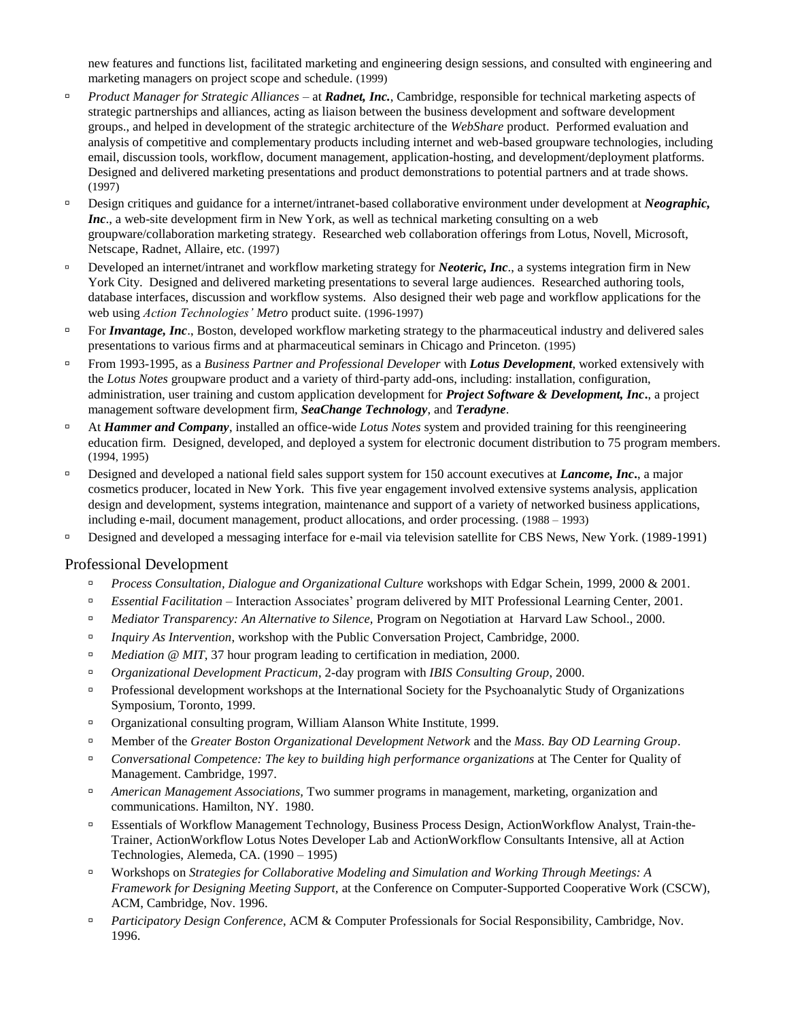new features and functions list, facilitated marketing and engineering design sessions, and consulted with engineering and marketing managers on project scope and schedule. (1999)

- *Product Manager for Strategic Alliances*  at *Radnet, Inc.*, Cambridge, responsible for technical marketing aspects of strategic partnerships and alliances, acting as liaison between the business development and software development groups., and helped in development of the strategic architecture of the *WebShare* product. Performed evaluation and analysis of competitive and complementary products including internet and web-based groupware technologies, including email, discussion tools, workflow, document management, application-hosting, and development/deployment platforms. Designed and delivered marketing presentations and product demonstrations to potential partners and at trade shows. (1997)
- Design critiques and guidance for a internet/intranet-based collaborative environment under development at *Neographic, Inc*., a web-site development firm in New York, as well as technical marketing consulting on a web groupware/collaboration marketing strategy. Researched web collaboration offerings from Lotus, Novell, Microsoft, Netscape, Radnet, Allaire, etc. (1997)
- Developed an internet/intranet and workflow marketing strategy for *Neoteric, Inc*., a systems integration firm in New York City. Designed and delivered marketing presentations to several large audiences. Researched authoring tools, database interfaces, discussion and workflow systems. Also designed their web page and workflow applications for the web using *Action Technologies' Metro* product suite. (1996-1997)
- For *Invantage, Inc*., Boston, developed workflow marketing strategy to the pharmaceutical industry and delivered sales presentations to various firms and at pharmaceutical seminars in Chicago and Princeton. (1995)
- From 1993-1995, as a *Business Partner and Professional Developer* with *Lotus Development*, worked extensively with the *Lotus Notes* groupware product and a variety of third-party add-ons, including: installation, configuration, administration, user training and custom application development for *Project Software & Development, Inc***.**, a project management software development firm, *SeaChange Technology*, and *Teradyne*.
- At *Hammer and Company*, installed an office-wide *Lotus Notes* system and provided training for this reengineering education firm. Designed, developed, and deployed a system for electronic document distribution to 75 program members. (1994, 1995)
- Designed and developed a national field sales support system for 150 account executives at *Lancome, Inc***.**, a major cosmetics producer, located in New York. This five year engagement involved extensive systems analysis, application design and development, systems integration, maintenance and support of a variety of networked business applications, including e-mail, document management, product allocations, and order processing. (1988 – 1993)
- Designed and developed a messaging interface for e-mail via television satellite for CBS News, New York. (1989-1991)

#### Professional Development

- *Process Consultation, Dialogue and Organizational Culture workshops with Edgar Schein, 1999, 2000 & 2001.*
- *Essential Facilitation*  Interaction Associates' program delivered by MIT Professional Learning Center, 2001.
- <sup>*m</sup> Mediator Transparency: An Alternative to Silence, Program on Negotiation at Harvard Law School., 2000.*</sup>
- <sup>*Inquiry As Intervention*, workshop with the Public Conversation Project, Cambridge, 2000.</sup>
- <sup>*m*</sup> *Mediation @ MIT*, 37 hour program leading to certification in mediation, 2000.
- *Organizational Development Practicum*, 2-day program with *IBIS Consulting Group*, 2000.
- **Professional development workshops at the International Society for the Psychoanalytic Study of Organizations** Symposium, Toronto, 1999.
- Organizational consulting program, William Alanson White Institute, 1999.
- Member of the *Greater Boston Organizational Development Network* and the *Mass. Bay OD Learning Group*.
- *Conversational Competence: The key to building high performance organizations* at The Center for Quality of Management. Cambridge, 1997.
- *American Management Associations,* Two summer programs in management, marketing, organization and communications. Hamilton, NY. 1980.
- Essentials of Workflow Management Technology, Business Process Design, ActionWorkflow Analyst, Train-the-Trainer, ActionWorkflow Lotus Notes Developer Lab and ActionWorkflow Consultants Intensive, all at Action Technologies, Alemeda, CA. (1990 – 1995)
- Workshops on *Strategies for Collaborative Modeling and Simulation and Working Through Meetings: A Framework for Designing Meeting Support,* at the Conference on Computer-Supported Cooperative Work (CSCW), ACM, Cambridge, Nov. 1996.
- *Participatory Design Conference, ACM & Computer Professionals for Social Responsibility, Cambridge, Nov.* 1996.